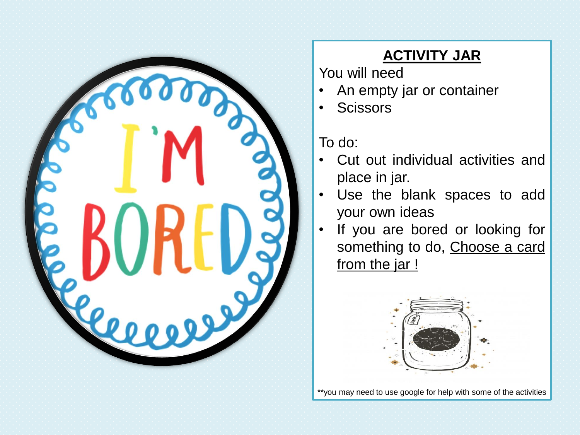

## **ACTIVITY JAR**

You will need

- An empty jar or container
- Scissors

To do:

- Cut out individual activities and place in jar.
- Use the blank spaces to add your own ideas
- If you are bored or looking for something to do, Choose a card from the jar !



\*\*you may need to use google for help with some of the activities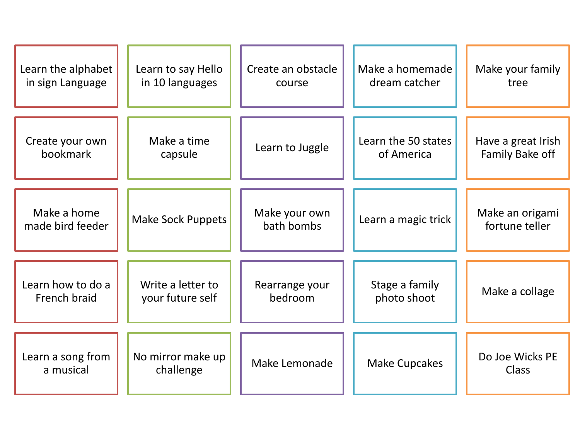| Learn the alphabet              | Learn to say Hello             | Create an obstacle          | Make a homemade      | Make your family                  |
|---------------------------------|--------------------------------|-----------------------------|----------------------|-----------------------------------|
| in sign Language                | in 10 languages                | course                      | dream catcher        | tree                              |
| Create your own                 | Make a time                    | Learn to Juggle             | Learn the 50 states  | Have a great Irish                |
| bookmark                        | capsule                        |                             | of America           | Family Bake off                   |
| Make a home<br>made bird feeder | <b>Make Sock Puppets</b>       | Make your own<br>bath bombs | Learn a magic trick  | Make an origami<br>fortune teller |
| Learn how to do a               | Write a letter to              | Rearrange your              | Stage a family       | Make a collage                    |
| French braid                    | your future self               | bedroom                     | photo shoot          |                                   |
| Learn a song from<br>a musical  | No mirror make up<br>challenge | Make Lemonade               | <b>Make Cupcakes</b> | Do Joe Wicks PE<br><b>Class</b>   |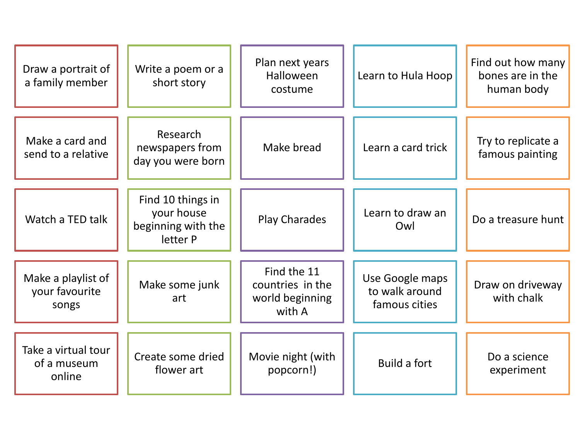| Draw a portrait of<br>a family member         | Write a poem or a<br>short story                                  | Plan next years<br>Halloween<br>costume                      | Learn to Hula Hoop                                 | Find out how many<br>bones are in the<br>human body |
|-----------------------------------------------|-------------------------------------------------------------------|--------------------------------------------------------------|----------------------------------------------------|-----------------------------------------------------|
| Make a card and<br>send to a relative         | Research<br>newspapers from<br>day you were born                  | Make bread                                                   | Learn a card trick                                 | Try to replicate a<br>famous painting               |
| Watch a TED talk                              | Find 10 things in<br>your house<br>beginning with the<br>letter P | <b>Play Charades</b>                                         | Learn to draw an<br>Owl                            | Do a treasure hunt                                  |
| Make a playlist of<br>your favourite<br>songs | Make some junk<br>art                                             | Find the 11<br>countries in the<br>world beginning<br>with A | Use Google maps<br>to walk around<br>famous cities | Draw on driveway<br>with chalk                      |
| Take a virtual tour<br>of a museum<br>online  | Create some dried<br>flower art                                   | Movie night (with<br>popcorn!)                               | <b>Build a fort</b>                                | Do a science<br>experiment                          |